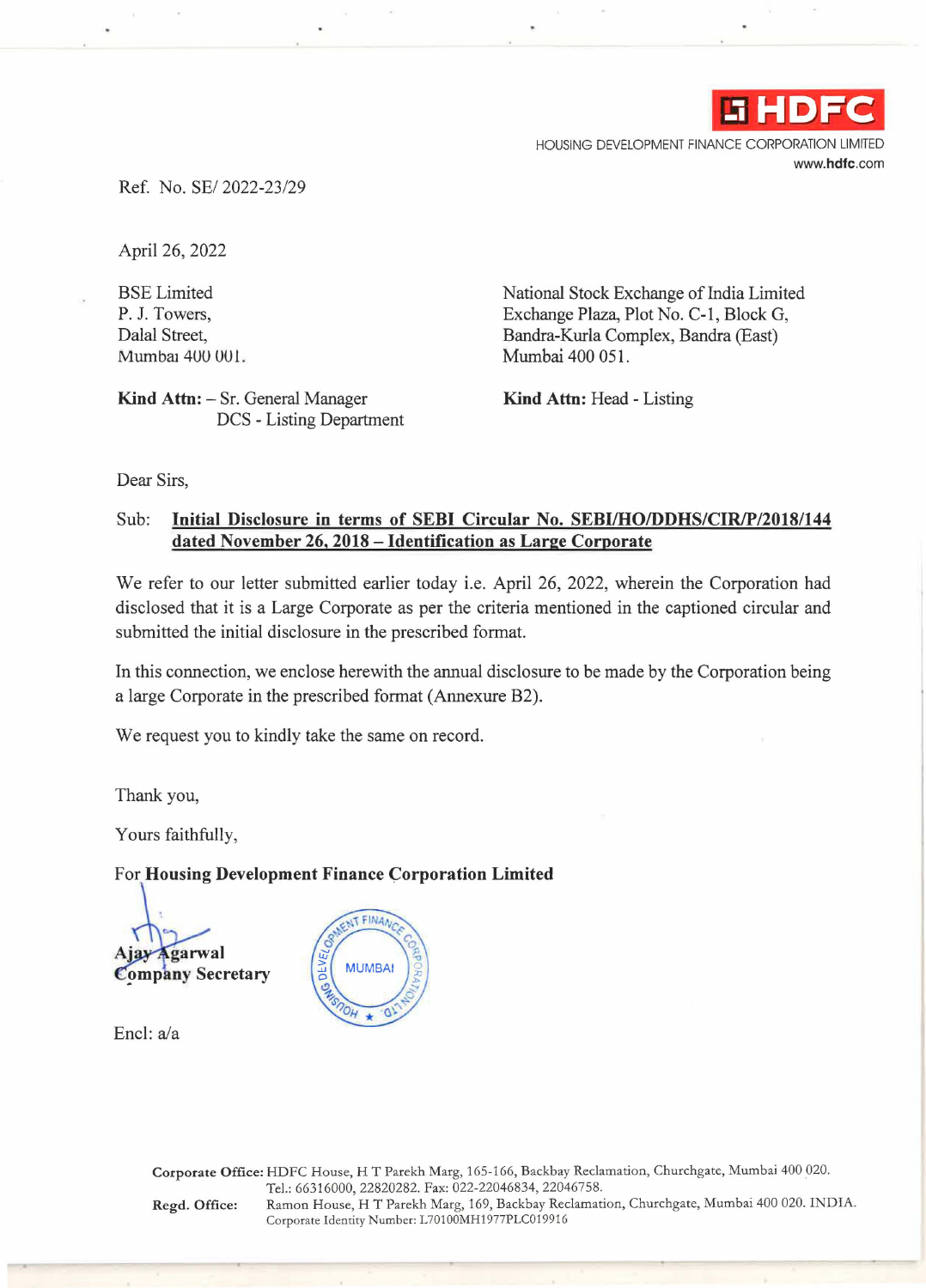

HOUSING DEVELOPMENT FINANCE CORPORATION LIMITED **www.hdfc.com** 

Ref. No. SE/ 2022-23/29

April 26, 2022

BSE Limited P. J. Towers, Dalal Street, Mumbai 400 001.

Kind Attn: - Sr. General Manager DCS - Listing Department National Stock Exchange of India Limited Exchange Plaza, Plot No. C-1, Block G, Bandra-Kurla Complex, Bandra (East) Mumbai 400 051.

**Kind Attn:** Head - Listing

Dear Sirs,

### Sub: **Initial Disclosure in terms of SEBI Circular No. SEBI/HO/DDHS/CIR/P/2018/144 dated November 26, 2018 - Identification as Large Corporate**

We refer to our letter submitted earlier today i.e. April 26, 2022, wherein the Corporation had disclosed that it is a Large Corporate as per the criteria mentioned in the captioned circular and submitted the initial disclosure in the prescribed format.

In this connection, we enclose herewith the annual disclosure to be made by the Corporation being a large Corporate in the prescribed format (Annexure B2).

We request you to kindly take the same on record.

Thank you,

Yours faithfully,

# For **Housing Development Finance Corporation Limited**

**Ajay Agarwal** 

**Company Secretary** 

Encl:a/a



**Corporate Office:** HDFC House, HT Parekh Marg, 165-166, Backbay Reclamation, Churchgate, Mumbai 400 020. Tel.: 66316000, 22820282. Fax: 022-22046834, 22046758. **Regd. Office:** Ramon House, HT Parekh Marg, 169, Backbay Reclamation, Churchgate, Mumbai 400 020. INDIA. Corporate Identity Number: L70100MH1977PLC019916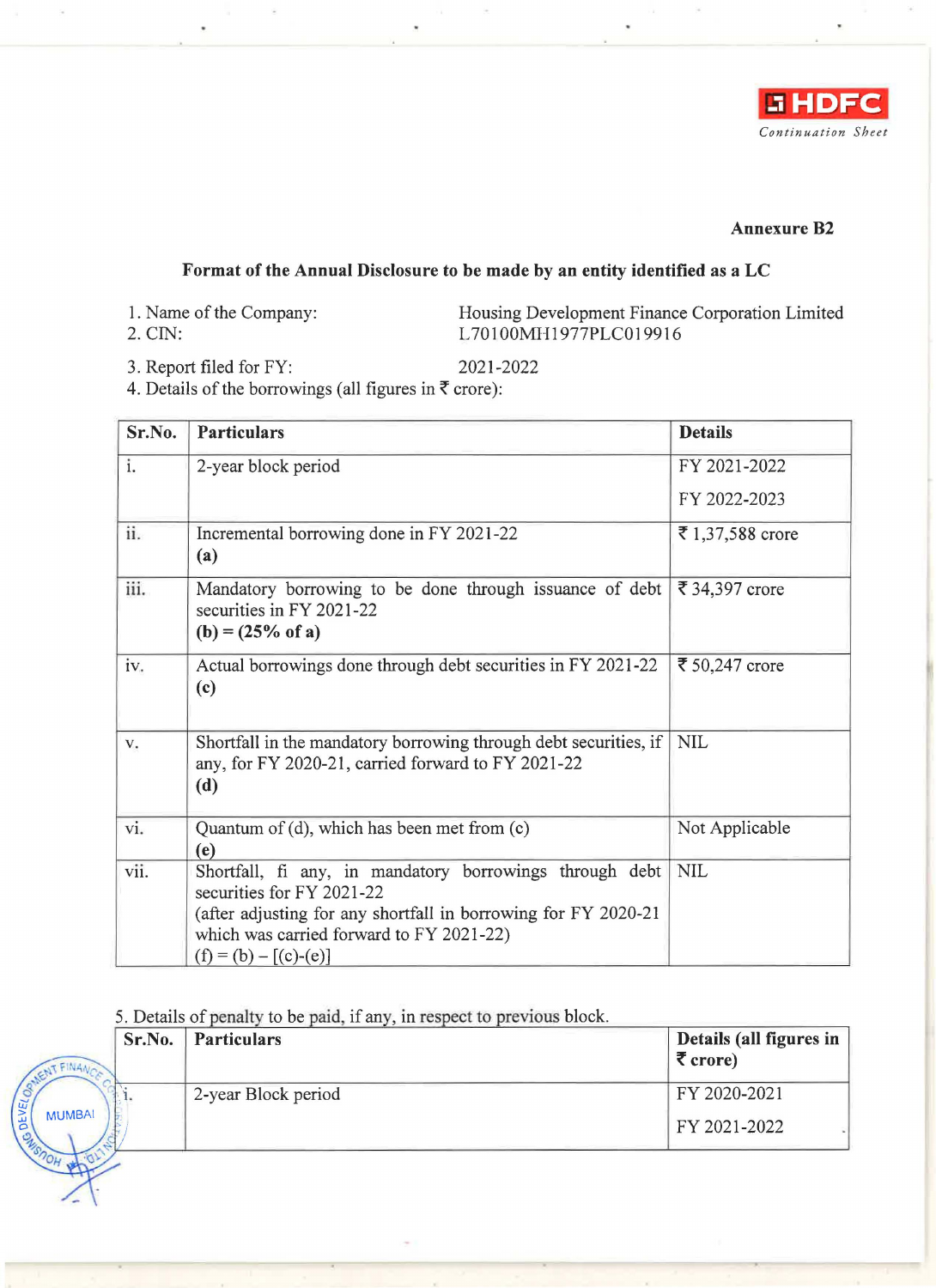

#### **Annexure B2**

## **Format of the Annual Disclosure to be made by an entity identified as a LC**

- 1. Name of the Company:
- 2. CIN:

Housing Development Finance Corporation Limited L 701OOMH1977PLC019916

3. Report filed for FY: 2021-2022

4. Details of the borrowings (all figures in  $\bar{\tau}$  crore):

| Sr.No.         | <b>Particulars</b>                                                                                                                                                                                                            | <b>Details</b>   |
|----------------|-------------------------------------------------------------------------------------------------------------------------------------------------------------------------------------------------------------------------------|------------------|
| i.             | 2-year block period                                                                                                                                                                                                           | FY 2021-2022     |
|                |                                                                                                                                                                                                                               | FY 2022-2023     |
| ii.            | Incremental borrowing done in FY 2021-22<br>(a)                                                                                                                                                                               | ₹ 1,37,588 crore |
| iii.           | Mandatory borrowing to be done through issuance of debt  <br>securities in FY 2021-22<br>$(b) = (25\% \text{ of a})$                                                                                                          | ₹ 34,397 crore   |
| iv.            | Actual borrowings done through debt securities in FY 2021-22<br>(c)                                                                                                                                                           | ₹ 50,247 crore   |
| $\mathbf{V}$ . | Shortfall in the mandatory borrowing through debt securities, if<br>any, for FY 2020-21, carried forward to FY 2021-22<br>(d)                                                                                                 | <b>NIL</b>       |
| vi.            | Quantum of (d), which has been met from (c)<br>(e)                                                                                                                                                                            | Not Applicable   |
| vii.           | Shortfall, fi any, in mandatory borrowings through debt<br>securities for FY 2021-22<br>(after adjusting for any shortfall in borrowing for FY 2020-21<br>which was carried forward to FY 2021-22)<br>$(f) = (b) - [(c)-(e)]$ | <b>NIL</b>       |

#### 5. Details of penalty to be paid, if any, in respect to previous block.

|               | Sr.No. | <b>Particulars</b>  | Details (all figures in<br>$\bar{\tau}$ crore) |
|---------------|--------|---------------------|------------------------------------------------|
|               |        | 2-year Block period | FY 2020-2021                                   |
| <b>MUMBAI</b> |        |                     | FY 2021-2022                                   |
|               |        |                     |                                                |